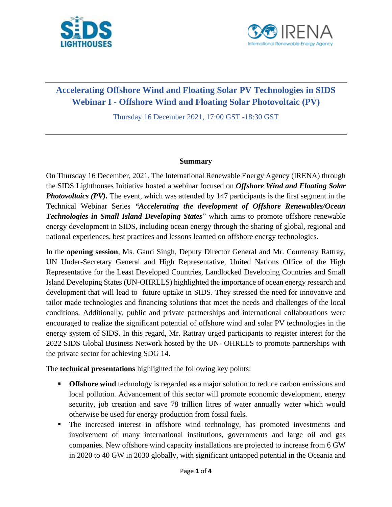



## **Accelerating Offshore Wind and Floating Solar PV Technologies in SIDS Webinar I - Offshore Wind and Floating Solar Photovoltaic (PV)**

Thursday 16 December 2021, 17:00 GST -18:30 GST

## **Summary**

On Thursday 16 December, 2021, The International Renewable Energy Agency (IRENA) through the SIDS Lighthouses Initiative hosted a webinar focused on *Offshore Wind and Floating Solar Photovoltaics (PV)*. The event, which was attended by 147 participants is the first segment in the Technical Webinar Series *"Accelerating the development of Offshore Renewables/Ocean Technologies in Small Island Developing States*" which aims to promote offshore renewable energy development in SIDS, including ocean energy through the sharing of global, regional and national experiences, best practices and lessons learned on offshore energy technologies.

In the **opening session**, Ms. Gauri Singh, Deputy Director General and Mr. Courtenay Rattray, UN Under-Secretary General and High Representative, United Nations Office of the High Representative for the Least Developed Countries, Landlocked Developing Countries and Small Island Developing States (UN-OHRLLS) highlighted the importance of ocean energy research and development that will lead to future uptake in SIDS. They stressed the need for innovative and tailor made technologies and financing solutions that meet the needs and challenges of the local conditions. Additionally, public and private partnerships and international collaborations were encouraged to realize the significant potential of offshore wind and solar PV technologies in the energy system of SIDS. In this regard, Mr. Rattray urged participants to register interest for the 2022 SIDS Global Business Network hosted by the UN- OHRLLS to promote partnerships with the private sector for achieving SDG 14.

The **technical presentations** highlighted the following key points:

- **Offshore wind** technology is regarded as a major solution to reduce carbon emissions and local pollution. Advancement of this sector will promote economic development, energy security, job creation and save 78 trillion litres of water annually water which would otherwise be used for energy production from fossil fuels.
- The increased interest in offshore wind technology, has promoted investments and involvement of many international institutions, governments and large oil and gas companies. New offshore wind capacity installations are projected to increase from 6 GW in 2020 to 40 GW in 2030 globally, with significant untapped potential in the Oceania and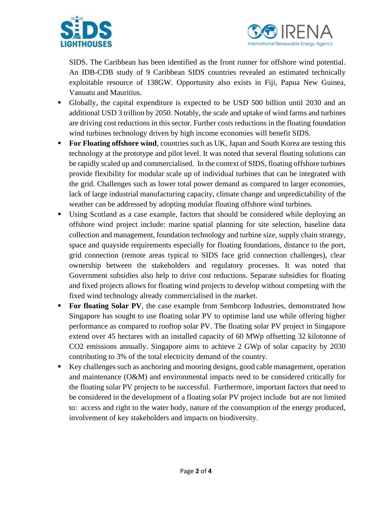



SIDS. The Caribbean has been identified as the front runner for offshore wind potential. An IDB-CDB study of 9 Caribbean SIDS countries revealed an estimated technically exploitable resource of 138GW. Opportunity also exists in Fiji, Papua New Guinea, Vanuatu and Mauritius.

- Globally, the capital expenditure is expected to be USD 500 billion until 2030 and an additional USD 3 trillion by 2050. Notably, the scale and uptake of wind farms and turbines are driving cost reductions in this sector. Further costs reductions in the floating foundation wind turbines technology driven by high income economies will benefit SIDS.
- **For Floating offshore wind, countries such as UK, Japan and South Korea are testing this** technology at the prototype and pilot level. It was noted that several floating solutions can be rapidly scaled up and commercialised. In the context of SIDS, floating offshore turbines provide flexibility for modular scale up of individual turbines that can be integrated with the grid. Challenges such as lower total power demand as compared to larger economies, lack of large industrial manufacturing capacity, climate change and unpredictability of the weather can be addressed by adopting modular floating offshore wind turbines.
- Using Scotland as a case example, factors that should be considered while deploying an offshore wind project include: marine spatial planning for site selection, baseline data collection and management, foundation technology and turbine size, supply chain strategy, space and quayside requirements especially for floating foundations, distance to the port, grid connection (remote areas typical to SIDS face grid connection challenges), clear ownership between the stakeholders and regulatory processes. It was noted that Government subsidies also help to drive cost reductions. Separate subsidies for floating and fixed projects allows for floating wind projects to develop without competing with the fixed wind technology already commercialised in the market.
- For floating Solar PV, the case example from Sembcorp Industries, demonstrated how Singapore has sought to use floating solar PV to optimise land use while offering higher performance as compared to rooftop solar PV. The floating solar PV project in Singapore extend over 45 hectares with an installed capacity of 60 MWp offsetting 32 kilotonne of CO2 emissions annually. Singapore aims to achieve 2 GWp of solar capacity by 2030 contributing to 3% of the total electricity demand of the country.
- Key challenges such as anchoring and mooring designs, good cable management, operation and maintenance (O&M) and environmental impacts need to be considered critically for the floating solar PV projects to be successful. Furthermore, important factors that need to be considered in the development of a floating solar PV project include but are not limited to: access and right to the water body, nature of the consumption of the energy produced, involvement of key stakeholders and impacts on biodiversity.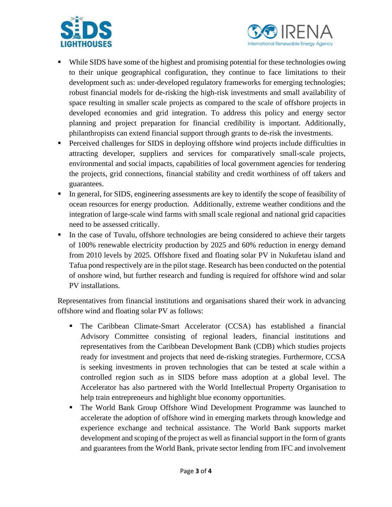



- While SIDS have some of the highest and promising potential for these technologies owing to their unique geographical configuration, they continue to face limitations to their development such as: under-developed regulatory frameworks for emerging technologies; robust financial models for de-risking the high-risk investments and small availability of space resulting in smaller scale projects as compared to the scale of offshore projects in developed economies and grid integration. To address this policy and energy sector planning and project preparation for financial credibility is important. Additionally, philanthropists can extend financial support through grants to de-risk the investments.
- Perceived challenges for SIDS in deploying offshore wind projects include difficulties in attracting developer, suppliers and services for comparatively small-scale projects, environmental and social impacts, capabilities of local government agencies for tendering the projects, grid connections, financial stability and credit worthiness of off takers and guarantees.
- **•** In general, for SIDS, engineering assessments are key to identify the scope of feasibility of ocean resources for energy production. Additionally, extreme weather conditions and the integration of large-scale wind farms with small scale regional and national grid capacities need to be assessed critically.
- In the case of Tuvalu, offshore technologies are being considered to achieve their targets of 100% renewable electricity production by 2025 and 60% reduction in energy demand from 2010 levels by 2025. Offshore fixed and floating solar PV in Nukufetau island and Tafua pond respectively are in the pilot stage. Research has been conducted on the potential of onshore wind, but further research and funding is required for offshore wind and solar PV installations.

Representatives from financial institutions and organisations shared their work in advancing offshore wind and floating solar PV as follows:

- The Caribbean Climate-Smart Accelerator (CCSA) has established a financial Advisory Committee consisting of regional leaders, financial institutions and representatives from the Caribbean Development Bank (CDB) which studies projects ready for investment and projects that need de-risking strategies. Furthermore, CCSA is seeking investments in proven technologies that can be tested at scale within a controlled region such as in SIDS before mass adoption at a global level. The Accelerator has also partnered with the World Intellectual Property Organisation to help train entrepreneurs and highlight blue economy opportunities.
- The World Bank Group Offshore Wind Development Programme was launched to accelerate the adoption of offshore wind in emerging markets through knowledge and experience exchange and technical assistance. The World Bank supports market development and scoping of the project as well as financial support in the form of grants and guarantees from the World Bank, private sector lending from IFC and involvement